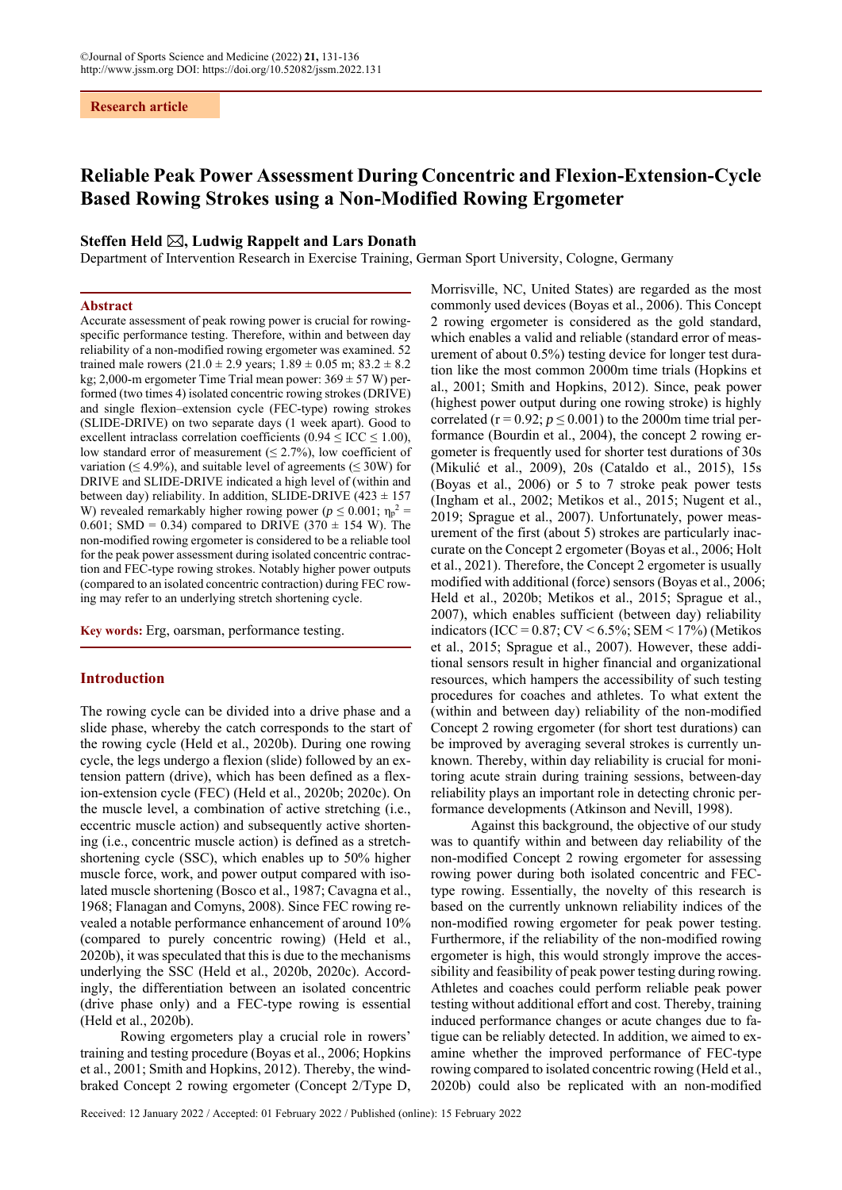# **Reliable Peak Power Assessment During Concentric and Flexion-Extension-Cycle Based Rowing Strokes using a Non-Modified Rowing Ergometer**

## **Steffen Held , Ludwig Rappelt and Lars Donath**

Department of Intervention Research in Exercise Training, German Sport University, Cologne, Germany

## **Abstract**

Accurate assessment of peak rowing power is crucial for rowingspecific performance testing. Therefore, within and between day reliability of a non-modified rowing ergometer was examined. 52 trained male rowers  $(21.0 \pm 2.9 \text{ years}; 1.89 \pm 0.05 \text{ m}; 83.2 \pm 8.2 \text{ m})$ kg; 2,000-m ergometer Time Trial mean power:  $369 \pm 57$  W) performed (two times 4) isolated concentric rowing strokes (DRIVE) and single flexion–extension cycle (FEC-type) rowing strokes (SLIDE-DRIVE) on two separate days (1 week apart). Good to excellent intraclass correlation coefficients ( $0.94 \leq$  ICC  $\leq$  1.00), low standard error of measurement ( $\leq$  2.7%), low coefficient of variation ( $\leq 4.9\%$ ), and suitable level of agreements ( $\leq 30W$ ) for DRIVE and SLIDE-DRIVE indicated a high level of (within and between day) reliability. In addition, SLIDE-DRIVE  $(423 \pm 157)$ W) revealed remarkably higher rowing power ( $p \le 0.001$ ;  $\eta_p^2$  = 0.601; SMD = 0.34) compared to DRIVE  $(370 \pm 154 \text{ W})$ . The non-modified rowing ergometer is considered to be a reliable tool for the peak power assessment during isolated concentric contraction and FEC-type rowing strokes. Notably higher power outputs (compared to an isolated concentric contraction) during FEC rowing may refer to an underlying stretch shortening cycle.

**Key words:** Erg, oarsman, performance testing.

## **Introduction**

The rowing cycle can be divided into a drive phase and a slide phase, whereby the catch corresponds to the start of the rowing cycle (Held et al., 2020b). During one rowing cycle, the legs undergo a flexion (slide) followed by an extension pattern (drive), which has been defined as a flexion-extension cycle (FEC) (Held et al., 2020b; 2020c). On the muscle level, a combination of active stretching (i.e., eccentric muscle action) and subsequently active shortening (i.e., concentric muscle action) is defined as a stretchshortening cycle (SSC), which enables up to 50% higher muscle force, work, and power output compared with isolated muscle shortening (Bosco et al., 1987; Cavagna et al., 1968; Flanagan and Comyns, 2008). Since FEC rowing revealed a notable performance enhancement of around 10% (compared to purely concentric rowing) (Held et al., 2020b), it was speculated that this is due to the mechanisms underlying the SSC (Held et al., 2020b, 2020c). Accordingly, the differentiation between an isolated concentric (drive phase only) and a FEC-type rowing is essential (Held et al., 2020b).

Rowing ergometers play a crucial role in rowers' training and testing procedure (Boyas et al., 2006; Hopkins et al., 2001; Smith and Hopkins, 2012). Thereby, the windbraked Concept 2 rowing ergometer (Concept 2/Type D, Morrisville, NC, United States) are regarded as the most commonly used devices (Boyas et al., 2006). This Concept 2 rowing ergometer is considered as the gold standard, which enables a valid and reliable (standard error of measurement of about 0.5%) testing device for longer test duration like the most common 2000m time trials (Hopkins et al., 2001; Smith and Hopkins, 2012). Since, peak power (highest power output during one rowing stroke) is highly correlated ( $r = 0.92$ ;  $p \le 0.001$ ) to the 2000m time trial performance (Bourdin et al., 2004), the concept 2 rowing ergometer is frequently used for shorter test durations of 30s (Mikulić et al., 2009), 20s (Cataldo et al., 2015), 15s (Boyas et al., 2006) or 5 to 7 stroke peak power tests (Ingham et al., 2002; Metikos et al., 2015; Nugent et al., 2019; Sprague et al., 2007). Unfortunately, power measurement of the first (about 5) strokes are particularly inaccurate on the Concept 2 ergometer (Boyas et al., 2006; Holt et al., 2021). Therefore, the Concept 2 ergometer is usually modified with additional (force) sensors (Boyas et al., 2006; Held et al., 2020b; Metikos et al., 2015; Sprague et al., 2007), which enables sufficient (between day) reliability indicators (ICC =  $0.87$ ; CV <  $6.5\%$ ; SEM <  $17\%$ ) (Metikos et al., 2015; Sprague et al., 2007). However, these additional sensors result in higher financial and organizational resources, which hampers the accessibility of such testing procedures for coaches and athletes. To what extent the (within and between day) reliability of the non-modified Concept 2 rowing ergometer (for short test durations) can be improved by averaging several strokes is currently unknown. Thereby, within day reliability is crucial for monitoring acute strain during training sessions, between-day reliability plays an important role in detecting chronic performance developments (Atkinson and Nevill, 1998).

Against this background, the objective of our study was to quantify within and between day reliability of the non-modified Concept 2 rowing ergometer for assessing rowing power during both isolated concentric and FECtype rowing. Essentially, the novelty of this research is based on the currently unknown reliability indices of the non-modified rowing ergometer for peak power testing. Furthermore, if the reliability of the non-modified rowing ergometer is high, this would strongly improve the accessibility and feasibility of peak power testing during rowing. Athletes and coaches could perform reliable peak power testing without additional effort and cost. Thereby, training induced performance changes or acute changes due to fatigue can be reliably detected. In addition, we aimed to examine whether the improved performance of FEC-type rowing compared to isolated concentric rowing (Held et al., 2020b) could also be replicated with an non-modified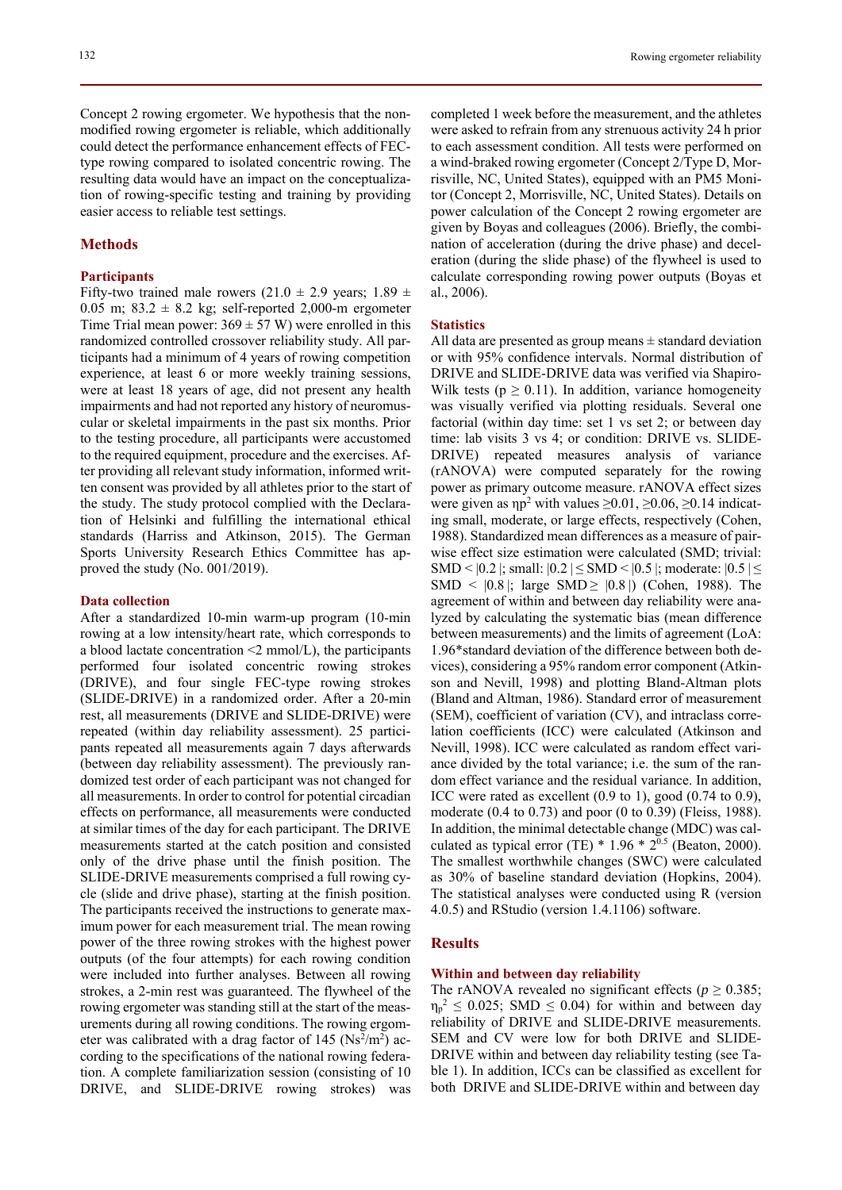132 Rowing ergometer reliability

Concept 2 rowing ergometer. We hypothesis that the nonmodified rowing ergometer is reliable, which additionally could detect the performance enhancement effects of FECtype rowing compared to isolated concentric rowing. The resulting data would have an impact on the conceptualization of rowing-specific testing and training by providing easier access to reliable test settings.

## **Methods**

## **Participants**

Fifty-two trained male rowers  $(21.0 \pm 2.9 \text{ years}; 1.89 \pm 1.0 \text{ years})$ 0.05 m;  $83.2 \pm 8.2$  kg; self-reported 2,000-m ergometer Time Trial mean power:  $369 \pm 57$  W) were enrolled in this randomized controlled crossover reliability study. All participants had a minimum of 4 years of rowing competition experience, at least 6 or more weekly training sessions, were at least 18 years of age, did not present any health impairments and had not reported any history of neuromuscular or skeletal impairments in the past six months. Prior to the testing procedure, all participants were accustomed to the required equipment, procedure and the exercises. After providing all relevant study information, informed written consent was provided by all athletes prior to the start of the study. The study protocol complied with the Declaration of Helsinki and fulfilling the international ethical standards (Harriss and Atkinson, 2015). The German Sports University Research Ethics Committee has approved the study (No. 001/2019).

## **Data collection**

After a standardized 10-min warm-up program (10-min rowing at a low intensity/heart rate, which corresponds to a blood lactate concentration  $\leq 2$  mmol/L), the participants performed four isolated concentric rowing strokes (DRIVE), and four single FEC-type rowing strokes (SLIDE-DRIVE) in a randomized order. After a 20-min rest, all measurements (DRIVE and SLIDE-DRIVE) were repeated (within day reliability assessment). 25 participants repeated all measurements again 7 days afterwards (between day reliability assessment). The previously randomized test order of each participant was not changed for all measurements. In order to control for potential circadian effects on performance, all measurements were conducted at similar times of the day for each participant. The DRIVE measurements started at the catch position and consisted only of the drive phase until the finish position. The SLIDE-DRIVE measurements comprised a full rowing cycle (slide and drive phase), starting at the finish position. The participants received the instructions to generate maximum power for each measurement trial. The mean rowing power of the three rowing strokes with the highest power outputs (of the four attempts) for each rowing condition were included into further analyses. Between all rowing strokes, a 2-min rest was guaranteed. The flywheel of the rowing ergometer was standing still at the start of the measurements during all rowing conditions. The rowing ergometer was calibrated with a drag factor of 145 ( $Ns^2/m^2$ ) according to the specifications of the national rowing federation. A complete familiarization session (consisting of 10 DRIVE, and SLIDE-DRIVE rowing strokes) was completed 1 week before the measurement, and the athletes were asked to refrain from any strenuous activity 24 h prior to each assessment condition. All tests were performed on a wind-braked rowing ergometer (Concept 2/Type D, Morrisville, NC, United States), equipped with an PM5 Monitor (Concept 2, Morrisville, NC, United States). Details on power calculation of the Concept 2 rowing ergometer are given by Boyas and colleagues (2006). Briefly, the combination of acceleration (during the drive phase) and deceleration (during the slide phase) of the flywheel is used to calculate corresponding rowing power outputs (Boyas et al., 2006).

## **Statistics**

All data are presented as group means  $\pm$  standard deviation or with 95% confidence intervals. Normal distribution of DRIVE and SLIDE-DRIVE data was verified via Shapiro-Wilk tests ( $p \ge 0.11$ ). In addition, variance homogeneity was visually verified via plotting residuals. Several one factorial (within day time: set 1 vs set 2; or between day time: lab visits 3 vs 4; or condition: DRIVE vs. SLIDE-DRIVE) repeated measures analysis of variance (rANOVA) were computed separately for the rowing power as primary outcome measure. rANOVA effect sizes were given as  $\eta p^2$  with values  $\geq 0.01$ ,  $\geq 0.06$ ,  $\geq 0.14$  indicating small, moderate, or large effects, respectively (Cohen, 1988). Standardized mean differences as a measure of pairwise effect size estimation were calculated (SMD; trivial: SMD <  $|0.2|$ ; small:  $|0.2| \leq$  SMD <  $|0.5|$ ; moderate:  $|0.5| \leq$ SMD <  $|0.8|$ ; large SMD  $\geq |0.8|$ ) (Cohen, 1988). The agreement of within and between day reliability were analyzed by calculating the systematic bias (mean difference between measurements) and the limits of agreement (LoA: 1.96\*standard deviation of the difference between both devices), considering a 95% random error component (Atkinson and Nevill, 1998) and plotting Bland-Altman plots (Bland and Altman, 1986). Standard error of measurement (SEM), coefficient of variation (CV), and intraclass correlation coefficients (ICC) were calculated (Atkinson and Nevill, 1998). ICC were calculated as random effect variance divided by the total variance; i.e. the sum of the random effect variance and the residual variance. In addition, ICC were rated as excellent (0.9 to 1), good (0.74 to 0.9), moderate (0.4 to 0.73) and poor (0 to 0.39) (Fleiss, 1988). In addition, the minimal detectable change (MDC) was calculated as typical error (TE)  $*$  1.96  $*$  2<sup>0.5</sup> (Beaton, 2000). The smallest worthwhile changes (SWC) were calculated as 30% of baseline standard deviation (Hopkins, 2004). The statistical analyses were conducted using R (version 4.0.5) and RStudio (version 1.4.1106) software.

## **Results**

## **Within and between day reliability**

The rANOVA revealed no significant effects ( $p \ge 0.385$ ;  $\eta_p^2 \le 0.025$ ; SMD  $\le 0.04$ ) for within and between day reliability of DRIVE and SLIDE-DRIVE measurements. SEM and CV were low for both DRIVE and SLIDE-DRIVE within and between day reliability testing (see Table 1). In addition, ICCs can be classified as excellent for both DRIVE and SLIDE-DRIVE within and between day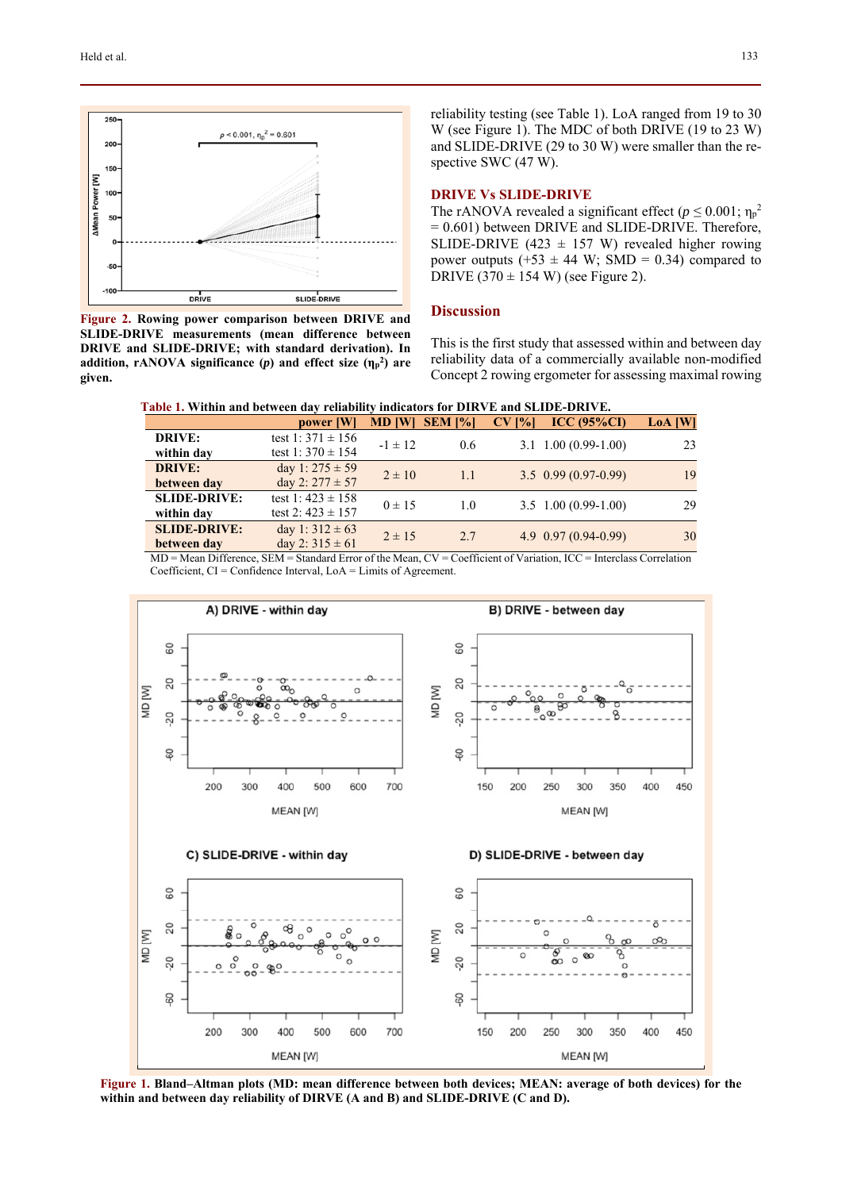

**Figure 2. Rowing power comparison between DRIVE and SLIDE-DRIVE measurements (mean difference between DRIVE and SLIDE-DRIVE; with standard derivation). In addition, rANOVA significance**  $(p)$  **and effect size**  $(\eta_p^2)$  **are given.** 

reliability testing (see Table 1). LoA ranged from 19 to 30 W (see Figure 1). The MDC of both DRIVE (19 to 23 W) and SLIDE-DRIVE (29 to 30 W) were smaller than the respective SWC (47 W).

## **DRIVE Vs SLIDE-DRIVE**

The rANOVA revealed a significant effect ( $p \le 0.001$ ;  $\eta_p^2$ = 0.601) between DRIVE and SLIDE-DRIVE. Therefore, SLIDE-DRIVE (423  $\pm$  157 W) revealed higher rowing power outputs (+53  $\pm$  44 W; SMD = 0.34) compared to DRIVE  $(370 \pm 154 \text{ W})$  (see Figure 2).

## **Discussion**

This is the first study that assessed within and between day reliability data of a commercially available non-modified Concept 2 rowing ergometer for assessing maximal rowing

|  | Table 1. Within and between day reliability indicators for DIRVE and SLIDE-DRIVE. |
|--|-----------------------------------------------------------------------------------|
|--|-----------------------------------------------------------------------------------|

| е пото та такини пита ботатоси чна тонношта ничнополот бита ни пита было в бита тва |                       |               |                |          |                                |                |  |
|-------------------------------------------------------------------------------------|-----------------------|---------------|----------------|----------|--------------------------------|----------------|--|
|                                                                                     | power [W]             | <b>MD [W]</b> | <b>SEM [%]</b> | $CV$ [%] | ICC (95% <sub>CD</sub> )       | <b>LoA</b> [W] |  |
| <b>DRIVE:</b>                                                                       | test 1: $371 \pm 156$ | $-1 \pm 12$   | $0.6^{\circ}$  |          | $3.1 \quad 1.00 \ (0.99-1.00)$ | 23             |  |
| within day                                                                          | test 1: $370 \pm 154$ |               |                |          |                                |                |  |
| <b>DRIVE:</b>                                                                       | day 1: $275 \pm 59$   | $2 \pm 10$    | 1.1            |          | $3.5 \quad 0.99 \ (0.97-0.99)$ | 19             |  |
| between day                                                                         | day 2: $277 \pm 57$   |               |                |          |                                |                |  |
| <b>SLIDE-DRIVE:</b>                                                                 | test 1: $423 \pm 158$ | $0 \pm 15$    | 1.0            |          | $3.5 \quad 1.00 \ (0.99-1.00)$ | 29             |  |
| within day                                                                          | test 2: $423 \pm 157$ |               |                |          |                                |                |  |
| <b>SLIDE-DRIVE:</b>                                                                 | day 1: $312 \pm 63$   | $2 \pm 15$    | 2.7            |          | $4.9$ $0.97$ $(0.94 - 0.99)$   | 30             |  |
| between day                                                                         | day 2: $315 \pm 61$   |               |                |          |                                |                |  |

MD = Mean Difference, SEM = Standard Error of the Mean, CV = Coefficient of Variation, ICC = Interclass Correlation Coefficient, CI = Confidence Interval, LoA = Limits of Agreement.



**Figure 1. Bland–Altman plots (MD: mean difference between both devices; MEAN: average of both devices) for the within and between day reliability of DIRVE (A and B) and SLIDE-DRIVE (C and D).**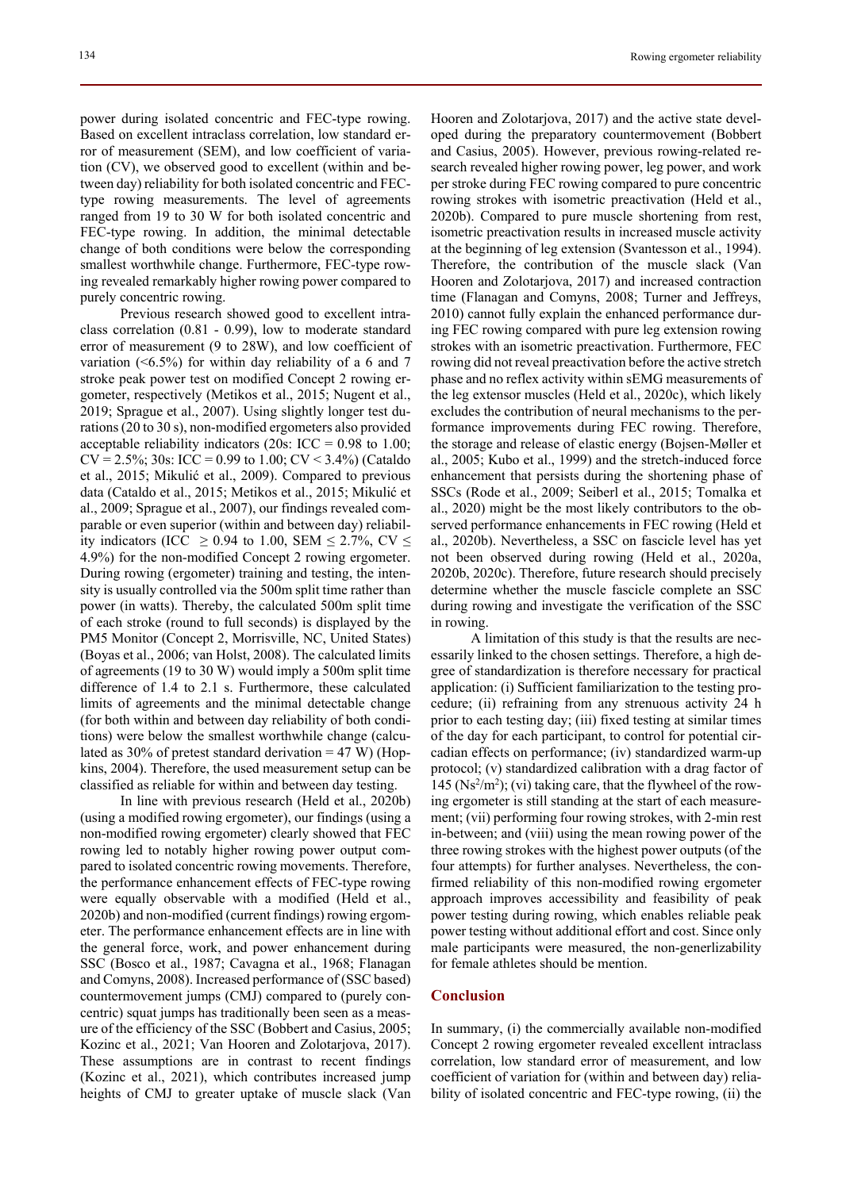power during isolated concentric and FEC-type rowing. Based on excellent intraclass correlation, low standard error of measurement (SEM), and low coefficient of variation (CV), we observed good to excellent (within and between day) reliability for both isolated concentric and FECtype rowing measurements. The level of agreements ranged from 19 to 30 W for both isolated concentric and FEC-type rowing. In addition, the minimal detectable change of both conditions were below the corresponding smallest worthwhile change. Furthermore, FEC-type rowing revealed remarkably higher rowing power compared to purely concentric rowing.

Previous research showed good to excellent intraclass correlation (0.81 - 0.99), low to moderate standard error of measurement (9 to 28W), and low coefficient of variation (<6.5%) for within day reliability of a 6 and 7 stroke peak power test on modified Concept 2 rowing ergometer, respectively (Metikos et al., 2015; Nugent et al., 2019; Sprague et al., 2007). Using slightly longer test durations (20 to 30 s), non-modified ergometers also provided acceptable reliability indicators (20s:  $ICC = 0.98$  to 1.00;  $CV = 2.5\%$ ; 30s: ICC = 0.99 to 1.00; CV < 3.4%) (Cataldo et al., 2015; Mikulić et al., 2009). Compared to previous data (Cataldo et al., 2015; Metikos et al., 2015; Mikulić et al., 2009; Sprague et al., 2007), our findings revealed comparable or even superior (within and between day) reliability indicators (ICC  $\geq$  0.94 to 1.00, SEM  $\leq$  2.7%, CV  $\leq$ 4.9%) for the non-modified Concept 2 rowing ergometer. During rowing (ergometer) training and testing, the intensity is usually controlled via the 500m split time rather than power (in watts). Thereby, the calculated 500m split time of each stroke (round to full seconds) is displayed by the PM5 Monitor (Concept 2, Morrisville, NC, United States) (Boyas et al., 2006; van Holst, 2008). The calculated limits of agreements (19 to 30 W) would imply a 500m split time difference of 1.4 to 2.1 s. Furthermore, these calculated limits of agreements and the minimal detectable change (for both within and between day reliability of both conditions) were below the smallest worthwhile change (calculated as  $30\%$  of pretest standard derivation = 47 W) (Hopkins, 2004). Therefore, the used measurement setup can be classified as reliable for within and between day testing.

In line with previous research (Held et al., 2020b) (using a modified rowing ergometer), our findings (using a non-modified rowing ergometer) clearly showed that FEC rowing led to notably higher rowing power output compared to isolated concentric rowing movements. Therefore, the performance enhancement effects of FEC-type rowing were equally observable with a modified (Held et al., 2020b) and non-modified (current findings) rowing ergometer. The performance enhancement effects are in line with the general force, work, and power enhancement during SSC (Bosco et al., 1987; Cavagna et al., 1968; Flanagan and Comyns, 2008). Increased performance of (SSC based) countermovement jumps (CMJ) compared to (purely concentric) squat jumps has traditionally been seen as a measure of the efficiency of the SSC (Bobbert and Casius, 2005; Kozinc et al., 2021; Van Hooren and Zolotarjova, 2017). These assumptions are in contrast to recent findings (Kozinc et al., 2021), which contributes increased jump heights of CMJ to greater uptake of muscle slack (Van

Hooren and Zolotarjova, 2017) and the active state developed during the preparatory countermovement (Bobbert and Casius, 2005). However, previous rowing-related research revealed higher rowing power, leg power, and work per stroke during FEC rowing compared to pure concentric rowing strokes with isometric preactivation (Held et al., 2020b). Compared to pure muscle shortening from rest, isometric preactivation results in increased muscle activity at the beginning of leg extension (Svantesson et al., 1994). Therefore, the contribution of the muscle slack (Van Hooren and Zolotarjova, 2017) and increased contraction time (Flanagan and Comyns, 2008; Turner and Jeffreys, 2010) cannot fully explain the enhanced performance during FEC rowing compared with pure leg extension rowing strokes with an isometric preactivation. Furthermore, FEC rowing did not reveal preactivation before the active stretch phase and no reflex activity within sEMG measurements of the leg extensor muscles (Held et al., 2020c), which likely excludes the contribution of neural mechanisms to the performance improvements during FEC rowing. Therefore, the storage and release of elastic energy (Bojsen-Møller et al., 2005; Kubo et al., 1999) and the stretch-induced force enhancement that persists during the shortening phase of SSCs (Rode et al., 2009; Seiberl et al., 2015; Tomalka et al., 2020) might be the most likely contributors to the observed performance enhancements in FEC rowing (Held et al., 2020b). Nevertheless, a SSC on fascicle level has yet not been observed during rowing (Held et al., 2020a, 2020b, 2020c). Therefore, future research should precisely determine whether the muscle fascicle complete an SSC during rowing and investigate the verification of the SSC in rowing.

A limitation of this study is that the results are necessarily linked to the chosen settings. Therefore, a high degree of standardization is therefore necessary for practical application: (i) Sufficient familiarization to the testing procedure; (ii) refraining from any strenuous activity 24 h prior to each testing day; (iii) fixed testing at similar times of the day for each participant, to control for potential circadian effects on performance; (iv) standardized warm-up protocol; (v) standardized calibration with a drag factor of  $145$  (Ns<sup>2</sup>/m<sup>2</sup>); (vi) taking care, that the flywheel of the rowing ergometer is still standing at the start of each measurement; (vii) performing four rowing strokes, with 2-min rest in-between; and (viii) using the mean rowing power of the three rowing strokes with the highest power outputs (of the four attempts) for further analyses. Nevertheless, the confirmed reliability of this non-modified rowing ergometer approach improves accessibility and feasibility of peak power testing during rowing, which enables reliable peak power testing without additional effort and cost. Since only male participants were measured, the non-generlizability for female athletes should be mention.

## **Conclusion**

In summary, (i) the commercially available non-modified Concept 2 rowing ergometer revealed excellent intraclass correlation, low standard error of measurement, and low coefficient of variation for (within and between day) reliability of isolated concentric and FEC-type rowing, (ii) the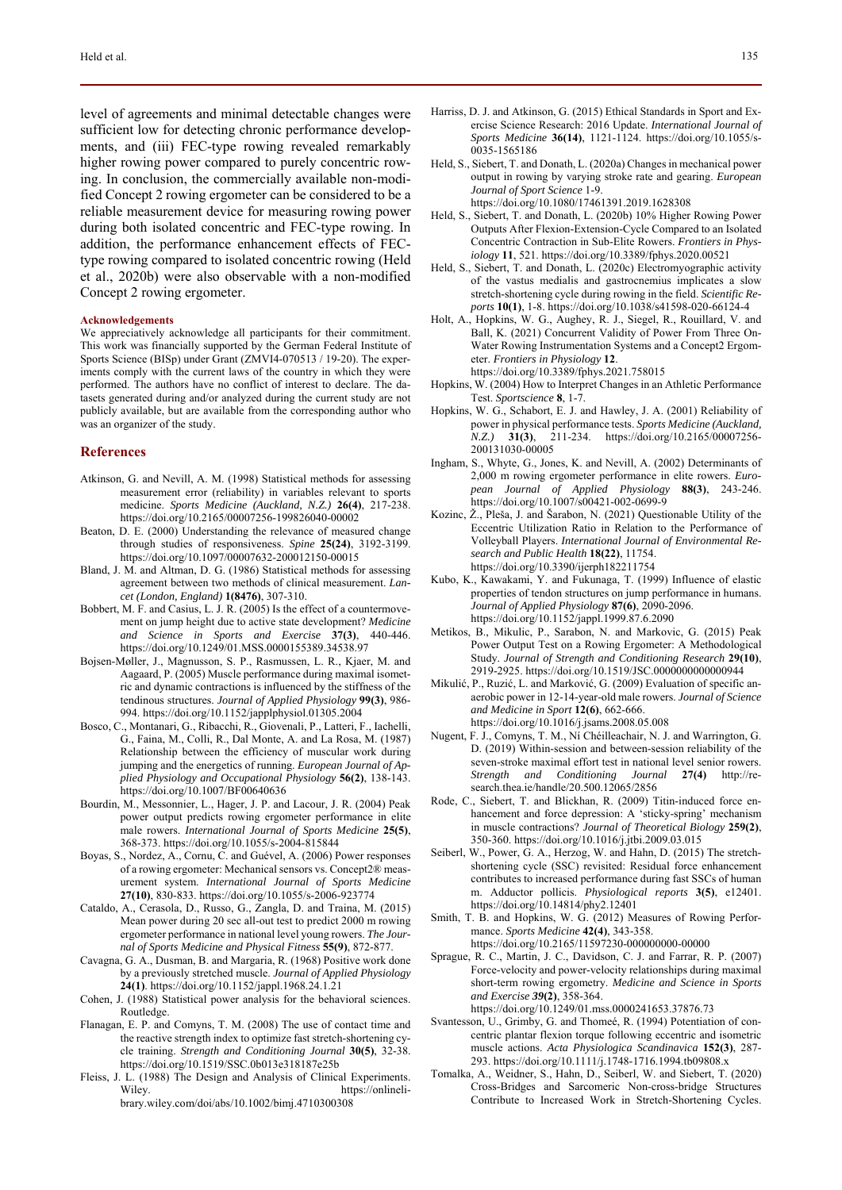level of agreements and minimal detectable changes were sufficient low for detecting chronic performance developments, and (iii) FEC-type rowing revealed remarkably higher rowing power compared to purely concentric rowing. In conclusion, the commercially available non-modified Concept 2 rowing ergometer can be considered to be a reliable measurement device for measuring rowing power during both isolated concentric and FEC-type rowing. In addition, the performance enhancement effects of FECtype rowing compared to isolated concentric rowing (Held et al., 2020b) were also observable with a non-modified Concept 2 rowing ergometer.

#### **Acknowledgements**

We appreciatively acknowledge all participants for their commitment. This work was financially supported by the German Federal Institute of Sports Science (BISp) under Grant (ZMVI4-070513 / 19-20). The experiments comply with the current laws of the country in which they were performed. The authors have no conflict of interest to declare. The datasets generated during and/or analyzed during the current study are not publicly available, but are available from the corresponding author who was an organizer of the study.

## **References**

- Atkinson, G. and Nevill, A. M. (1998) Statistical methods for assessing measurement error (reliability) in variables relevant to sports medicine. *Sports Medicine (Auckland, N.Z.)* **26(4)**, 217-238. https://doi.org/10.2165/00007256-199826040-00002
- Beaton, D. E. (2000) Understanding the relevance of measured change through studies of responsiveness. *Spine* **25(24)**, 3192-3199. https://doi.org/10.1097/00007632-200012150-00015
- Bland, J. M. and Altman, D. G. (1986) Statistical methods for assessing agreement between two methods of clinical measurement. *Lancet (London, England)* **1(8476)**, 307-310.
- Bobbert, M. F. and Casius, L. J. R. (2005) Is the effect of a countermovement on jump height due to active state development? *Medicine and Science in Sports and Exercise* **37(3)**, 440-446. https://doi.org/10.1249/01.MSS.0000155389.34538.97
- Bojsen-Møller, J., Magnusson, S. P., Rasmussen, L. R., Kjaer, M. and Aagaard, P. (2005) Muscle performance during maximal isometric and dynamic contractions is influenced by the stiffness of the tendinous structures. *Journal of Applied Physiology* **99(3)**, 986- 994. https://doi.org/10.1152/japplphysiol.01305.2004
- Bosco, C., Montanari, G., Ribacchi, R., Giovenali, P., Latteri, F., Iachelli, G., Faina, M., Colli, R., Dal Monte, A. and La Rosa, M. (1987) Relationship between the efficiency of muscular work during jumping and the energetics of running. *European Journal of Applied Physiology and Occupational Physiology* **56(2)**, 138-143. https://doi.org/10.1007/BF00640636
- Bourdin, M., Messonnier, L., Hager, J. P. and Lacour, J. R. (2004) Peak power output predicts rowing ergometer performance in elite male rowers. *International Journal of Sports Medicine* **25(5)**, 368-373. https://doi.org/10.1055/s-2004-815844
- Boyas, S., Nordez, A., Cornu, C. and Guével, A. (2006) Power responses of a rowing ergometer: Mechanical sensors vs. Concept2® measurement system. *International Journal of Sports Medicine* **27(10)**, 830-833. https://doi.org/10.1055/s-2006-923774
- Cataldo, A., Cerasola, D., Russo, G., Zangla, D. and Traina, M. (2015) Mean power during 20 sec all-out test to predict 2000 m rowing ergometer performance in national level young rowers. *The Journal of Sports Medicine and Physical Fitness* **55(9)**, 872-877.
- Cavagna, G. A., Dusman, B. and Margaria, R. (1968) Positive work done by a previously stretched muscle. *Journal of Applied Physiology* **24(1)**. https://doi.org/10.1152/jappl.1968.24.1.21
- Cohen, J. (1988) Statistical power analysis for the behavioral sciences. Routledge.
- Flanagan, E. P. and Comyns, T. M. (2008) The use of contact time and the reactive strength index to optimize fast stretch-shortening cycle training. *Strength and Conditioning Journal* **30(5)**, 32-38. https://doi.org/10.1519/SSC.0b013e318187e25b
- Fleiss, J. L. (1988) The Design and Analysis of Clinical Experiments. Wiley. https://onlinelibrary.wiley.com/doi/abs/10.1002/bimj.4710300308
- Harriss, D. J. and Atkinson, G. (2015) Ethical Standards in Sport and Exercise Science Research: 2016 Update. *International Journal of Sports Medicine* **36(14)**, 1121-1124. https://doi.org/10.1055/s-0035-1565186
- Held, S., Siebert, T. and Donath, L. (2020a) Changes in mechanical power output in rowing by varying stroke rate and gearing. *European Journal of Sport Science* 1-9. https://doi.org/10.1080/17461391.2019.1628308
- Held, S., Siebert, T. and Donath, L. (2020b) 10% Higher Rowing Power Outputs After Flexion-Extension-Cycle Compared to an Isolated Concentric Contraction in Sub-Elite Rowers. *Frontiers in Physiology* **11**, 521. https://doi.org/10.3389/fphys.2020.00521
- Held, S., Siebert, T. and Donath, L. (2020c) Electromyographic activity of the vastus medialis and gastrocnemius implicates a slow stretch-shortening cycle during rowing in the field. *Scientific Reports* **10(1)**, 1-8. https://doi.org/10.1038/s41598-020-66124-4
- Holt, A., Hopkins, W. G., Aughey, R. J., Siegel, R., Rouillard, V. and Ball, K. (2021) Concurrent Validity of Power From Three On-Water Rowing Instrumentation Systems and a Concept2 Ergometer. *Frontiers in Physiology* **12**.

https://doi.org/10.3389/fphys.2021.758015

- Hopkins, W. (2004) How to Interpret Changes in an Athletic Performance Test. *Sportscience* **8**, 1-7.
- Hopkins, W. G., Schabort, E. J. and Hawley, J. A. (2001) Reliability of power in physical performance tests. *Sports Medicine (Auckland, N.Z.)* **31(3)**, 211-234. https://doi.org/10.2165/00007256- 200131030-00005
- Ingham, S., Whyte, G., Jones, K. and Nevill, A. (2002) Determinants of 2,000 m rowing ergometer performance in elite rowers. *European Journal of Applied Physiology* **88(3)**, 243-246. https://doi.org/10.1007/s00421-002-0699-9
- Kozinc, Ž., Pleša, J. and Šarabon, N. (2021) Questionable Utility of the Eccentric Utilization Ratio in Relation to the Performance of Volleyball Players. *International Journal of Environmental Research and Public Health* **18(22)**, 11754. https://doi.org/10.3390/ijerph182211754
- Kubo, K., Kawakami, Y. and Fukunaga, T. (1999) Influence of elastic properties of tendon structures on jump performance in humans. *Journal of Applied Physiology* **87(6)**, 2090-2096. https://doi.org/10.1152/jappl.1999.87.6.2090
- Metikos, B., Mikulic, P., Sarabon, N. and Markovic, G. (2015) Peak Power Output Test on a Rowing Ergometer: A Methodological Study. *Journal of Strength and Conditioning Research* **29(10)**, 2919-2925. https://doi.org/10.1519/JSC.0000000000000944
- Mikulić, P., Ruzić, L. and Marković, G. (2009) Evaluation of specific anaerobic power in 12-14-year-old male rowers. *Journal of Science and Medicine in Sport* **12(6)**, 662-666. https://doi.org/10.1016/j.jsams.2008.05.008
- Nugent, F. J., Comyns, T. M., Ní Chéilleachair, N. J. and Warrington, G. D. (2019) Within-session and between-session reliability of the seven-stroke maximal effort test in national level senior rowers. *Strength and Conditioning Journal* **27(4)** http://research.thea.ie/handle/20.500.12065/2856
- Rode, C., Siebert, T. and Blickhan, R. (2009) Titin-induced force enhancement and force depression: A 'sticky-spring' mechanism in muscle contractions? *Journal of Theoretical Biology* **259(2)**, 350-360. https://doi.org/10.1016/j.jtbi.2009.03.015
- Seiberl, W., Power, G. A., Herzog, W. and Hahn, D. (2015) The stretchshortening cycle (SSC) revisited: Residual force enhancement contributes to increased performance during fast SSCs of human m. Adductor pollicis. *Physiological reports* **3(5)**, e12401. https://doi.org/10.14814/phy2.12401
- Smith, T. B. and Hopkins, W. G. (2012) Measures of Rowing Performance. *Sports Medicine* **42(4)**, 343-358. https://doi.org/10.2165/11597230-000000000-00000
- Sprague, R. C., Martin, J. C., Davidson, C. J. and Farrar, R. P. (2007) Force-velocity and power-velocity relationships during maximal short-term rowing ergometry. *Medicine and Science in Sports and Exercise 39***(2)**, 358-364.

https://doi.org/10.1249/01.mss.0000241653.37876.73

- Svantesson, U., Grimby, G. and Thomeé, R. (1994) Potentiation of concentric plantar flexion torque following eccentric and isometric muscle actions. *Acta Physiologica Scandinavica* **152(3)**, 287- 293. https://doi.org/10.1111/j.1748-1716.1994.tb09808.x
- Tomalka, A., Weidner, S., Hahn, D., Seiberl, W. and Siebert, T. (2020) Cross-Bridges and Sarcomeric Non-cross-bridge Structures Contribute to Increased Work in Stretch-Shortening Cycles.